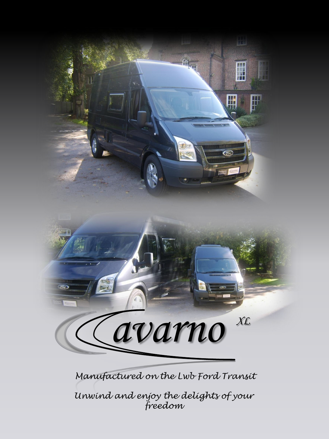

Manufactured on the Lwb Ford Transit

Unwind and enjoy the delights of your freedom